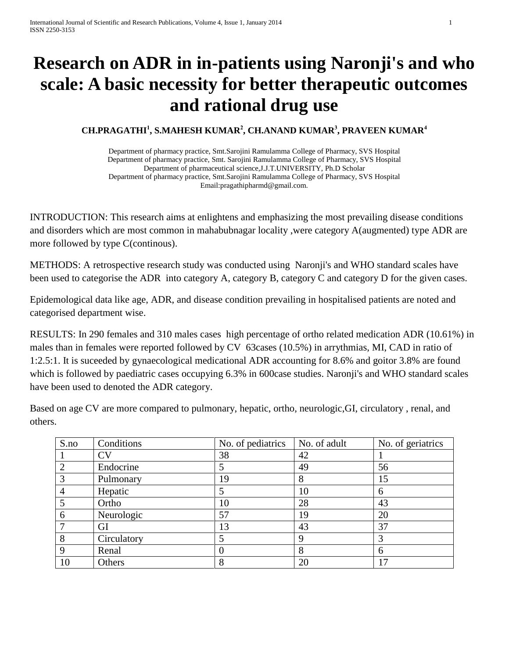## **Research on ADR in in-patients using Naronji's and who scale: A basic necessity for better therapeutic outcomes and rational drug use**

## **CH.PRAGATHI<sup>1</sup> , S.MAHESH KUMAR<sup>2</sup> , CH.ANAND KUMAR<sup>3</sup> , PRAVEEN KUMAR<sup>4</sup>**

Department of pharmacy practice, Smt.Sarojini Ramulamma College of Pharmacy, SVS Hospital Department of pharmacy practice, Smt. Sarojini Ramulamma College of Pharmacy, SVS Hospital Department of pharmaceutical science,J.J.T.UNIVERSITY, Ph.D Scholar Department of pharmacy practice, Smt.Sarojini Ramulamma College of Pharmacy, SVS Hospital Email:pragathipharmd@gmail.com.

INTRODUCTION: This research aims at enlightens and emphasizing the most prevailing disease conditions and disorders which are most common in mahabubnagar locality ,were category A(augmented) type ADR are more followed by type C(continous).

METHODS: A retrospective research study was conducted using Naronji's and WHO standard scales have been used to categorise the ADR into category A, category B, category C and category D for the given cases.

Epidemological data like age, ADR, and disease condition prevailing in hospitalised patients are noted and categorised department wise.

RESULTS: In 290 females and 310 males cases high percentage of ortho related medication ADR (10.61%) in males than in females were reported followed by CV 63cases (10.5%) in arrythmias, MI, CAD in ratio of 1:2.5:1. It is suceeded by gynaecological medicational ADR accounting for 8.6% and goitor 3.8% are found which is followed by paediatric cases occupying 6.3% in 600case studies. Naronji's and WHO standard scales have been used to denoted the ADR category.

Based on age CV are more compared to pulmonary, hepatic, ortho, neurologic,GI, circulatory , renal, and others.

| S.no           | Conditions             | No. of pediatrics | No. of adult | No. of geriatrics |
|----------------|------------------------|-------------------|--------------|-------------------|
|                | $\overline{\text{CV}}$ | 38                | 42           |                   |
| $\overline{2}$ | Endocrine              |                   | 49           | 56                |
| $\overline{3}$ | Pulmonary              | 19                | 8            | 15                |
|                | Hepatic                |                   | 10           | <sub>0</sub>      |
|                | Ortho                  | 10                | 28           | 43                |
| 6              | Neurologic             | 57                | 19           | 20                |
| 7              | GI                     | 13                | 43           | 37                |
| 8              | Circulatory            |                   | 9            |                   |
| 9              | Renal                  | 0                 | 8            | 6                 |
| 10             | Others                 | 8                 | 20           | רו                |